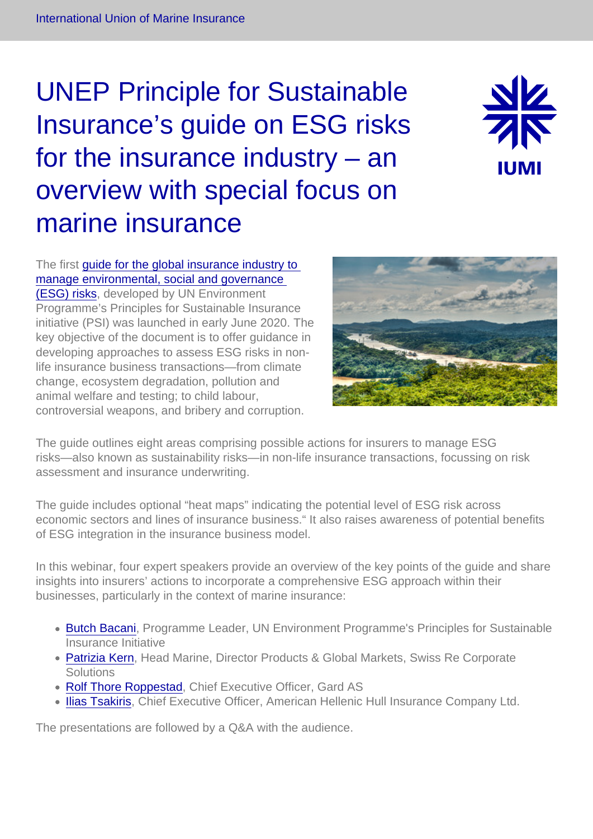## UNEP Principle for Sustainable Insurance's guide on ESG risks for the insurance industry – an overview with special focus on marine insurance



The first [guide for the global insurance industry to](https://www.unepfi.org/psi/wp-content/uploads/2020/06/PSI-ESG-guide-for-non-life-insurance.pdf)  [manage environmental, social and governance](https://www.unepfi.org/psi/wp-content/uploads/2020/06/PSI-ESG-guide-for-non-life-insurance.pdf)  [\(ESG\) risks](https://www.unepfi.org/psi/wp-content/uploads/2020/06/PSI-ESG-guide-for-non-life-insurance.pdf), developed by UN Environment Programme's Principles for Sustainable Insurance initiative (PSI) was launched in early June 2020. The key objective of the document is to offer guidance in developing approaches to assess ESG risks in nonlife insurance business transactions—from climate change, ecosystem degradation, pollution and animal welfare and testing; to child labour, controversial weapons, and bribery and corruption.

The guide outlines eight areas comprising possible actions for insurers to manage ESG risks—also known as sustainability risks—in non-life insurance transactions, focussing on risk assessment and insurance underwriting.

The guide includes optional "heat maps" indicating the potential level of ESG risk across economic sectors and lines of insurance business." It also raises awareness of potential benefits of ESG integration in the insurance business model.

In this webinar, four expert speakers provide an overview of the key points of the guide and share insights into insurers' actions to incorporate a comprehensive ESG approach within their businesses, particularly in the context of marine insurance:

- [Butch Bacani,](https://iumi.com/uploads/Webinar/Butch_Bacani_bio.pdf) Programme Leader, UN Environment Programme's Principles for Sustainable Insurance Initiative
- [Patrizia Kern,](https://iumi.com/uploads/Webinar/Patrizia_Kern.pdf) Head Marine, Director Products & Global Markets, Swiss Re Corporate **Solutions**
- [Rolf Thore Roppestad](https://iumi.com/uploads/Rolf_Thore_Roppestad_bio.pdf), Chief Executive Officer, Gard AS
- [Ilias Tsakiris](https://iumi.com/uploads/Webinar/Ilias_Tsakiris_bio.pdf), Chief Executive Officer, American Hellenic Hull Insurance Company Ltd.

The presentations are followed by a Q&A with the audience.